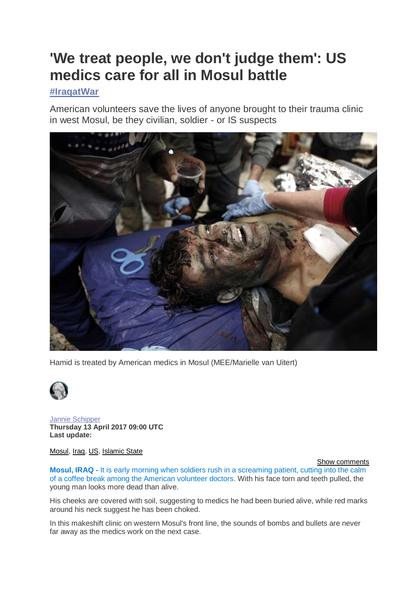# **'We treat people, we don't judge them': US medics care for all in Mosul battle**

# **[#IraqatWar](http://www.middleeasteye.net/topics/iraqatwar)**

American volunteers save the lives of anyone brought to their trauma clinic in west Mosul, be they civilian, soldier - or IS suspects



Hamid is treated by American medics in Mosul (MEE/Marielle van Uitert)



[Jannie Schipper](http://www.middleeasteye.net/users/jannie-schipper) **Thursday 13 April 2017 09:00 UTC Last update:**

[Mosul,](http://www.middleeasteye.net/tags/mosul) [Iraq,](http://www.middleeasteye.net/tags/iraq) [US,](http://www.middleeasteye.net/tags/us) [Islamic State](http://www.middleeasteye.net/tags/islamic-state)

[Show comments](http://www.middleeasteye.net/news/us-medics-treat-fighters-mosul-1794772301#block-disqus-disqus-comments)

**Mosul, IRAQ -** It is early morning when soldiers rush in a screaming patient, cutting into the calm of a coffee break among the American volunteer doctors. With his face torn and teeth pulled, the young man looks more dead than alive.

His cheeks are covered with soil, suggesting to medics he had been buried alive, while red marks around his neck suggest he has been choked.

In this makeshift clinic on western Mosul's front line, the sounds of bombs and bullets are never far away as the medics work on the next case.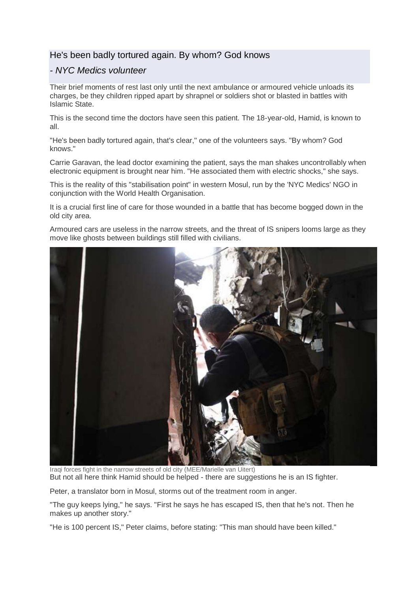## He's been badly tortured again. By whom? God knows

## *- NYC Medics volunteer*

Their brief moments of rest last only until the next ambulance or armoured vehicle unloads its charges, be they children ripped apart by shrapnel or soldiers shot or blasted in battles with Islamic State.

This is the second time the doctors have seen this patient. The 18-year-old, Hamid, is known to all.

"He's been badly tortured again, that's clear," one of the volunteers says. "By whom? God knows."

Carrie Garavan, the lead doctor examining the patient, says the man shakes uncontrollably when electronic equipment is brought near him. "He associated them with electric shocks," she says.

This is the reality of this "stabilisation point" in western Mosul, run by the 'NYC Medics' NGO in conjunction with the World Health Organisation.

It is a crucial first line of care for those wounded in a battle that has become bogged down in the old city area.

Armoured cars are useless in the narrow streets, and the threat of IS snipers looms large as they move like ghosts between buildings still filled with civilians.



Iraqi forces fight in the narrow streets of old city (MEE/Marielle van Uitert) But not all here think Hamid should be helped - there are suggestions he is an IS fighter.

Peter, a translator born in Mosul, storms out of the treatment room in anger.

"The guy keeps lying," he says. "First he says he has escaped IS, then that he's not. Then he makes up another story."

"He is 100 percent IS," Peter claims, before stating: "This man should have been killed."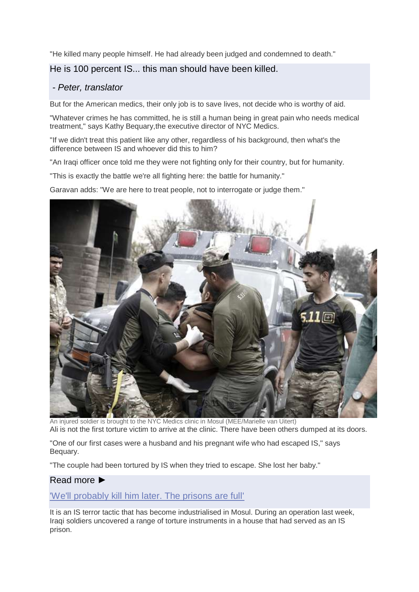"He killed many people himself. He had already been judged and condemned to death."

#### He is 100 percent IS... this man should have been killed.

## *- Peter, translator*

But for the American medics, their only job is to save lives, not decide who is worthy of aid.

"Whatever crimes he has committed, he is still a human being in great pain who needs medical treatment," says Kathy Bequary,the executive director of NYC Medics.

"If we didn't treat this patient like any other, regardless of his background, then what's the difference between IS and whoever did this to him?

"An Iraqi officer once told me they were not fighting only for their country, but for humanity.

"This is exactly the battle we're all fighting here: the battle for humanity."

Garavan adds: "We are here to treat people, not to interrogate or judge them."



An injured soldier is brought to the NYC Medics clinic in Mosul (MEE/Marielle van Uitert) Ali is not the first torture victim to arrive at the clinic. There have been others dumped at its doors.

"One of our first cases were a husband and his pregnant wife who had escaped IS," says Bequary.

"The couple had been tortured by IS when they tried to escape. She lost her baby."

#### Read more ►

['We'll probably kill him later. The prisons are full'](http://www.middleeasteye.net/news/well-probably-kill-him-later-prisons-baghdad-are-full-1026207155)

It is an IS terror tactic that has become industrialised in Mosul. During an operation last week, Iraqi soldiers uncovered a range of torture instruments in a house that had served as an IS prison.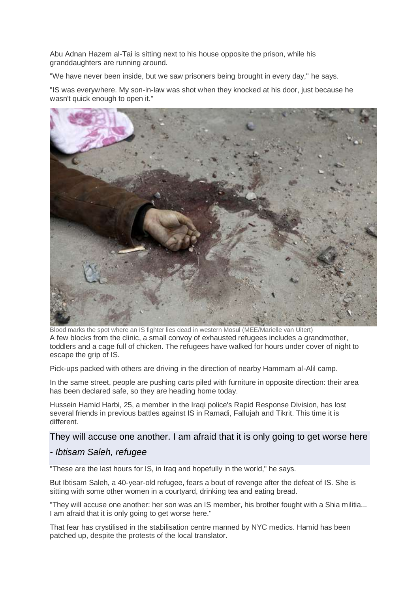Abu Adnan Hazem al-Tai is sitting next to his house opposite the prison, while his granddaughters are running around.

"We have never been inside, but we saw prisoners being brought in every day," he says.

"IS was everywhere. My son-in-law was shot when they knocked at his door, just because he wasn't quick enough to open it."



Blood marks the spot where an IS fighter lies dead in western Mosul (MEE/Marielle van Uitert) A few blocks from the clinic, a small convoy of exhausted refugees includes a grandmother, toddlers and a cage full of chicken. The refugees have walked for hours under cover of night to escape the grip of IS.

Pick-ups packed with others are driving in the direction of nearby Hammam al-Alil camp.

In the same street, people are pushing carts piled with furniture in opposite direction: their area has been declared safe, so they are heading home today.

Hussein Hamid Harbi, 25, a member in the Iraqi police's Rapid Response Division, has lost several friends in previous battles against IS in Ramadi, Fallujah and Tikrit. This time it is different.

#### They will accuse one another. I am afraid that it is only going to get worse here

#### *- Ibtisam Saleh, refugee*

"These are the last hours for IS, in Iraq and hopefully in the world," he says.

But Ibtisam Saleh, a 40-year-old refugee, fears a bout of revenge after the defeat of IS. She is sitting with some other women in a courtyard, drinking tea and eating bread.

"They will accuse one another: her son was an IS member, his brother fought with a Shia militia... I am afraid that it is only going to get worse here."

That fear has crystilised in the stabilisation centre manned by NYC medics. Hamid has been patched up, despite the protests of the local translator.